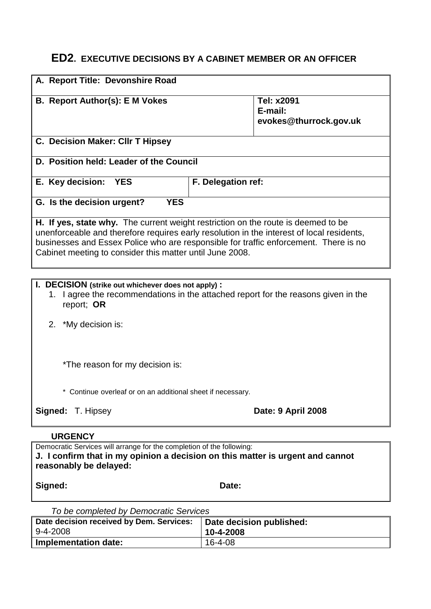# **ED2. EXECUTIVE DECISIONS BY A CABINET MEMBER OR AN OFFICER**

| A. Report Title: Devonshire Road                                                                                                                                                                                                                                                                                                   |                                   |  |  |  |
|------------------------------------------------------------------------------------------------------------------------------------------------------------------------------------------------------------------------------------------------------------------------------------------------------------------------------------|-----------------------------------|--|--|--|
| <b>B. Report Author(s): E M Vokes</b>                                                                                                                                                                                                                                                                                              | Tel: x2091                        |  |  |  |
|                                                                                                                                                                                                                                                                                                                                    | E-mail:<br>evokes@thurrock.gov.uk |  |  |  |
|                                                                                                                                                                                                                                                                                                                                    |                                   |  |  |  |
| C. Decision Maker: CIIr T Hipsey                                                                                                                                                                                                                                                                                                   |                                   |  |  |  |
| D. Position held: Leader of the Council                                                                                                                                                                                                                                                                                            |                                   |  |  |  |
| E. Key decision:<br><b>YES</b>                                                                                                                                                                                                                                                                                                     | F. Delegation ref:                |  |  |  |
| G. Is the decision urgent?<br><b>YES</b>                                                                                                                                                                                                                                                                                           |                                   |  |  |  |
| H. If yes, state why. The current weight restriction on the route is deemed to be<br>unenforceable and therefore requires early resolution in the interest of local residents,<br>businesses and Essex Police who are responsible for traffic enforcement. There is no<br>Cabinet meeting to consider this matter until June 2008. |                                   |  |  |  |

### **I. DECISION (strike out whichever does not apply) :**

- 1. I agree the recommendations in the attached report for the reasons given in the report; **OR**
- 2. \*My decision is:

\*The reason for my decision is:

\* Continue overleaf or on an additional sheet if necessary.

**Signed:** T. Hipsey **Date: 9 April 2008** 

#### **URGENCY**

Democratic Services will arrange for the completion of the following: **J. I confirm that in my opinion a decision on this matter is urgent and cannot reasonably be delayed:**

Signed: **Date:** Date:

*To be completed by Democratic Services*

| Date decision received by Dem. Services: | Date decision published: |
|------------------------------------------|--------------------------|
| $9-4-2008$                               | 10-4-2008                |
| Implementation date:                     | 16-4-08                  |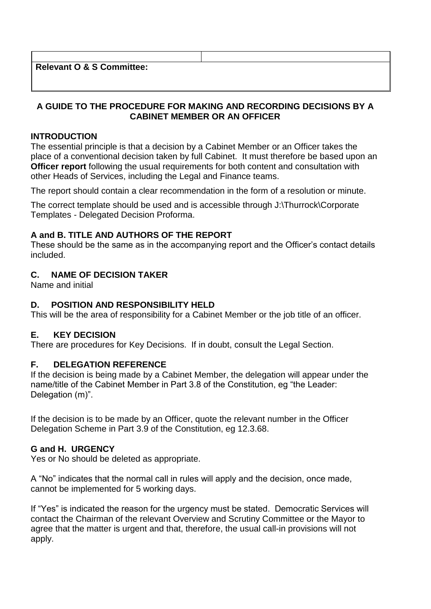**Relevant O & S Committee:**

## **A GUIDE TO THE PROCEDURE FOR MAKING AND RECORDING DECISIONS BY A CABINET MEMBER OR AN OFFICER**

### **INTRODUCTION**

The essential principle is that a decision by a Cabinet Member or an Officer takes the place of a conventional decision taken by full Cabinet. It must therefore be based upon an **Officer report** following the usual requirements for both content and consultation with other Heads of Services, including the Legal and Finance teams.

The report should contain a clear recommendation in the form of a resolution or minute.

The correct template should be used and is accessible through J:\Thurrock\Corporate Templates - Delegated Decision Proforma.

## **A and B. TITLE AND AUTHORS OF THE REPORT**

These should be the same as in the accompanying report and the Officer's contact details included.

## **C. NAME OF DECISION TAKER**

Name and initial

## **D. POSITION AND RESPONSIBILITY HELD**

This will be the area of responsibility for a Cabinet Member or the job title of an officer.

## **E. KEY DECISION**

There are procedures for Key Decisions. If in doubt, consult the Legal Section.

## **F. DELEGATION REFERENCE**

If the decision is being made by a Cabinet Member, the delegation will appear under the name/title of the Cabinet Member in Part 3.8 of the Constitution, eg "the Leader: Delegation (m)".

If the decision is to be made by an Officer, quote the relevant number in the Officer Delegation Scheme in Part 3.9 of the Constitution, eg 12.3.68.

#### **G and H. URGENCY**

Yes or No should be deleted as appropriate.

A "No" indicates that the normal call in rules will apply and the decision, once made, cannot be implemented for 5 working days.

If "Yes" is indicated the reason for the urgency must be stated. Democratic Services will contact the Chairman of the relevant Overview and Scrutiny Committee or the Mayor to agree that the matter is urgent and that, therefore, the usual call-in provisions will not apply.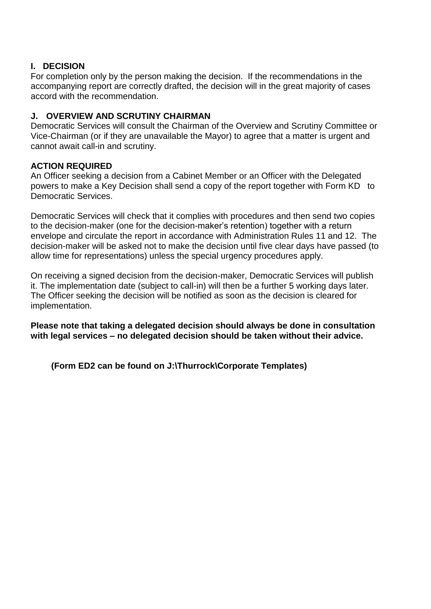## **I. DECISION**

For completion only by the person making the decision. If the recommendations in the accompanying report are correctly drafted, the decision will in the great majority of cases accord with the recommendation.

## **J. OVERVIEW AND SCRUTINY CHAIRMAN**

Democratic Services will consult the Chairman of the Overview and Scrutiny Committee or Vice-Chairman (or if they are unavailable the Mayor) to agree that a matter is urgent and cannot await call-in and scrutiny.

## **ACTION REQUIRED**

An Officer seeking a decision from a Cabinet Member or an Officer with the Delegated powers to make a Key Decision shall send a copy of the report together with Form KD to Democratic Services.

Democratic Services will check that it complies with procedures and then send two copies to the decision-maker (one for the decision-maker's retention) together with a return envelope and circulate the report in accordance with Administration Rules 11 and 12. The decision-maker will be asked not to make the decision until five clear days have passed (to allow time for representations) unless the special urgency procedures apply.

On receiving a signed decision from the decision-maker, Democratic Services will publish it. The implementation date (subject to call-in) will then be a further 5 working days later. The Officer seeking the decision will be notified as soon as the decision is cleared for implementation.

**Please note that taking a delegated decision should always be done in consultation with legal services – no delegated decision should be taken without their advice.**

**(Form ED2 can be found on J:\Thurrock\Corporate Templates)**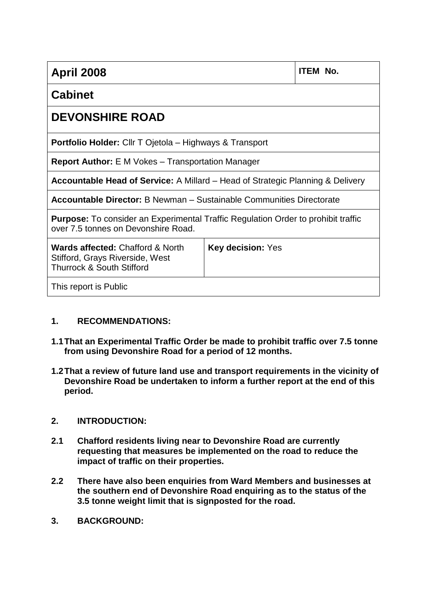| <b>April 2008</b>                                                                                                               |                          | <b>ITEM No.</b> |  |  |
|---------------------------------------------------------------------------------------------------------------------------------|--------------------------|-----------------|--|--|
| <b>Cabinet</b>                                                                                                                  |                          |                 |  |  |
| <b>DEVONSHIRE ROAD</b>                                                                                                          |                          |                 |  |  |
| Portfolio Holder: Cllr T Ojetola - Highways & Transport                                                                         |                          |                 |  |  |
| <b>Report Author:</b> E M Vokes – Transportation Manager                                                                        |                          |                 |  |  |
| <b>Accountable Head of Service:</b> A Millard – Head of Strategic Planning & Delivery                                           |                          |                 |  |  |
| Accountable Director: B Newman - Sustainable Communities Directorate                                                            |                          |                 |  |  |
| <b>Purpose:</b> To consider an Experimental Traffic Regulation Order to prohibit traffic<br>over 7.5 tonnes on Devonshire Road. |                          |                 |  |  |
| <b>Wards affected: Chafford &amp; North</b><br>Stifford, Grays Riverside, West<br><b>Thurrock &amp; South Stifford</b>          | <b>Key decision: Yes</b> |                 |  |  |
| This report is Public                                                                                                           |                          |                 |  |  |

## **1. RECOMMENDATIONS:**

- **1.1That an Experimental Traffic Order be made to prohibit traffic over 7.5 tonne from using Devonshire Road for a period of 12 months.**
- **1.2That a review of future land use and transport requirements in the vicinity of Devonshire Road be undertaken to inform a further report at the end of this period.**

## **2. INTRODUCTION:**

- **2.1 Chafford residents living near to Devonshire Road are currently requesting that measures be implemented on the road to reduce the impact of traffic on their properties.**
- **2.2 There have also been enquiries from Ward Members and businesses at the southern end of Devonshire Road enquiring as to the status of the 3.5 tonne weight limit that is signposted for the road.**
- **3. BACKGROUND:**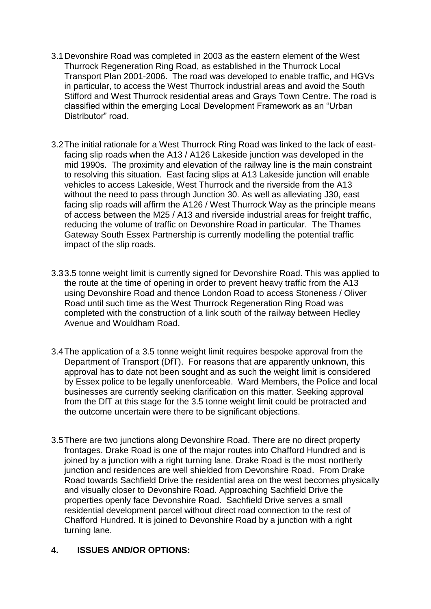- 3.1Devonshire Road was completed in 2003 as the eastern element of the West Thurrock Regeneration Ring Road, as established in the Thurrock Local Transport Plan 2001-2006. The road was developed to enable traffic, and HGVs in particular, to access the West Thurrock industrial areas and avoid the South Stifford and West Thurrock residential areas and Grays Town Centre. The road is classified within the emerging Local Development Framework as an "Urban Distributor" road.
- 3.2The initial rationale for a West Thurrock Ring Road was linked to the lack of eastfacing slip roads when the A13 / A126 Lakeside junction was developed in the mid 1990s. The proximity and elevation of the railway line is the main constraint to resolving this situation. East facing slips at A13 Lakeside junction will enable vehicles to access Lakeside, West Thurrock and the riverside from the A13 without the need to pass through Junction 30. As well as alleviating J30, east facing slip roads will affirm the A126 / West Thurrock Way as the principle means of access between the M25 / A13 and riverside industrial areas for freight traffic, reducing the volume of traffic on Devonshire Road in particular. The Thames Gateway South Essex Partnership is currently modelling the potential traffic impact of the slip roads.
- 3.33.5 tonne weight limit is currently signed for Devonshire Road. This was applied to the route at the time of opening in order to prevent heavy traffic from the A13 using Devonshire Road and thence London Road to access Stoneness / Oliver Road until such time as the West Thurrock Regeneration Ring Road was completed with the construction of a link south of the railway between Hedley Avenue and Wouldham Road.
- 3.4The application of a 3.5 tonne weight limit requires bespoke approval from the Department of Transport (DfT). For reasons that are apparently unknown, this approval has to date not been sought and as such the weight limit is considered by Essex police to be legally unenforceable. Ward Members, the Police and local businesses are currently seeking clarification on this matter. Seeking approval from the DfT at this stage for the 3.5 tonne weight limit could be protracted and the outcome uncertain were there to be significant objections.
- 3.5There are two junctions along Devonshire Road. There are no direct property frontages. Drake Road is one of the major routes into Chafford Hundred and is joined by a junction with a right turning lane. Drake Road is the most northerly junction and residences are well shielded from Devonshire Road. From Drake Road towards Sachfield Drive the residential area on the west becomes physically and visually closer to Devonshire Road. Approaching Sachfield Drive the properties openly face Devonshire Road. Sachfield Drive serves a small residential development parcel without direct road connection to the rest of Chafford Hundred. It is joined to Devonshire Road by a junction with a right turning lane.

## **4. ISSUES AND/OR OPTIONS:**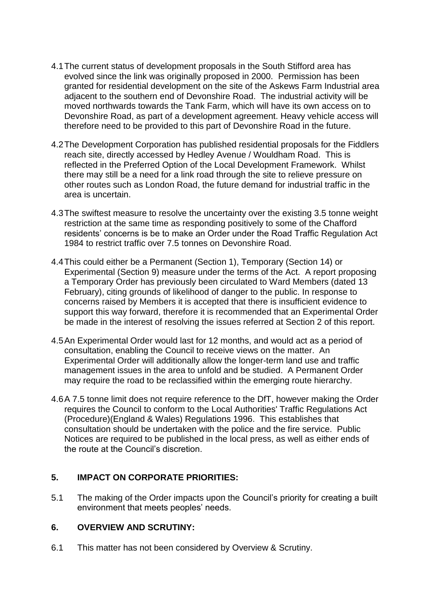- 4.1The current status of development proposals in the South Stifford area has evolved since the link was originally proposed in 2000. Permission has been granted for residential development on the site of the Askews Farm Industrial area adjacent to the southern end of Devonshire Road. The industrial activity will be moved northwards towards the Tank Farm, which will have its own access on to Devonshire Road, as part of a development agreement. Heavy vehicle access will therefore need to be provided to this part of Devonshire Road in the future.
- 4.2The Development Corporation has published residential proposals for the Fiddlers reach site, directly accessed by Hedley Avenue / Wouldham Road. This is reflected in the Preferred Option of the Local Development Framework. Whilst there may still be a need for a link road through the site to relieve pressure on other routes such as London Road, the future demand for industrial traffic in the area is uncertain.
- 4.3The swiftest measure to resolve the uncertainty over the existing 3.5 tonne weight restriction at the same time as responding positively to some of the Chafford residents' concerns is be to make an Order under the Road Traffic Regulation Act 1984 to restrict traffic over 7.5 tonnes on Devonshire Road.
- 4.4This could either be a Permanent (Section 1), Temporary (Section 14) or Experimental (Section 9) measure under the terms of the Act. A report proposing a Temporary Order has previously been circulated to Ward Members (dated 13 February), citing grounds of likelihood of danger to the public. In response to concerns raised by Members it is accepted that there is insufficient evidence to support this way forward, therefore it is recommended that an Experimental Order be made in the interest of resolving the issues referred at Section 2 of this report.
- 4.5An Experimental Order would last for 12 months, and would act as a period of consultation, enabling the Council to receive views on the matter. An Experimental Order will additionally allow the longer-term land use and traffic management issues in the area to unfold and be studied. A Permanent Order may require the road to be reclassified within the emerging route hierarchy.
- 4.6A 7.5 tonne limit does not require reference to the DfT, however making the Order requires the Council to conform to the Local Authorities' Traffic Regulations Act (Procedure)(England & Wales) Regulations 1996. This establishes that consultation should be undertaken with the police and the fire service. Public Notices are required to be published in the local press, as well as either ends of the route at the Council's discretion.

## **5. IMPACT ON CORPORATE PRIORITIES:**

5.1 The making of the Order impacts upon the Council's priority for creating a built environment that meets peoples' needs.

## **6. OVERVIEW AND SCRUTINY:**

6.1 This matter has not been considered by Overview & Scrutiny.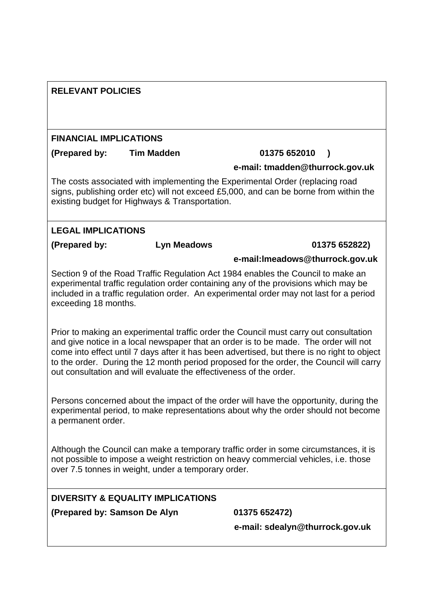| <b>RELEVANT POLICIES</b><br><b>FINANCIAL IMPLICATIONS</b> |                                                                    |                                                                                                                                                                                                                                                                                                                                                                         |               |  |
|-----------------------------------------------------------|--------------------------------------------------------------------|-------------------------------------------------------------------------------------------------------------------------------------------------------------------------------------------------------------------------------------------------------------------------------------------------------------------------------------------------------------------------|---------------|--|
|                                                           |                                                                    |                                                                                                                                                                                                                                                                                                                                                                         |               |  |
|                                                           |                                                                    | e-mail: tmadden@thurrock.gov.uk                                                                                                                                                                                                                                                                                                                                         |               |  |
|                                                           | existing budget for Highways & Transportation.                     | The costs associated with implementing the Experimental Order (replacing road<br>signs, publishing order etc) will not exceed £5,000, and can be borne from within the                                                                                                                                                                                                  |               |  |
| <b>LEGAL IMPLICATIONS</b>                                 |                                                                    |                                                                                                                                                                                                                                                                                                                                                                         |               |  |
| (Prepared by:                                             | <b>Lyn Meadows</b>                                                 |                                                                                                                                                                                                                                                                                                                                                                         | 01375 652822) |  |
|                                                           |                                                                    | e-mail:Imeadows@thurrock.gov.uk                                                                                                                                                                                                                                                                                                                                         |               |  |
| exceeding 18 months.                                      |                                                                    | Section 9 of the Road Traffic Regulation Act 1984 enables the Council to make an<br>experimental traffic regulation order containing any of the provisions which may be<br>included in a traffic regulation order. An experimental order may not last for a period                                                                                                      |               |  |
|                                                           | out consultation and will evaluate the effectiveness of the order. | Prior to making an experimental traffic order the Council must carry out consultation<br>and give notice in a local newspaper that an order is to be made. The order will not<br>come into effect until 7 days after it has been advertised, but there is no right to object<br>to the order. During the 12 month period proposed for the order, the Council will carry |               |  |
| a permanent order.                                        |                                                                    | Persons concerned about the impact of the order will have the opportunity, during the<br>experimental period, to make representations about why the order should not become                                                                                                                                                                                             |               |  |
|                                                           | over 7.5 tonnes in weight, under a temporary order.                | Although the Council can make a temporary traffic order in some circumstances, it is<br>not possible to impose a weight restriction on heavy commercial vehicles, i.e. those                                                                                                                                                                                            |               |  |
|                                                           | <b>DIVERSITY &amp; EQUALITY IMPLICATIONS</b>                       |                                                                                                                                                                                                                                                                                                                                                                         |               |  |
| (Prepared by: Samson De Alyn                              |                                                                    | 01375 652472)                                                                                                                                                                                                                                                                                                                                                           |               |  |
|                                                           |                                                                    | e-mail: sdealyn@thurrock.gov.uk                                                                                                                                                                                                                                                                                                                                         |               |  |
|                                                           |                                                                    |                                                                                                                                                                                                                                                                                                                                                                         |               |  |